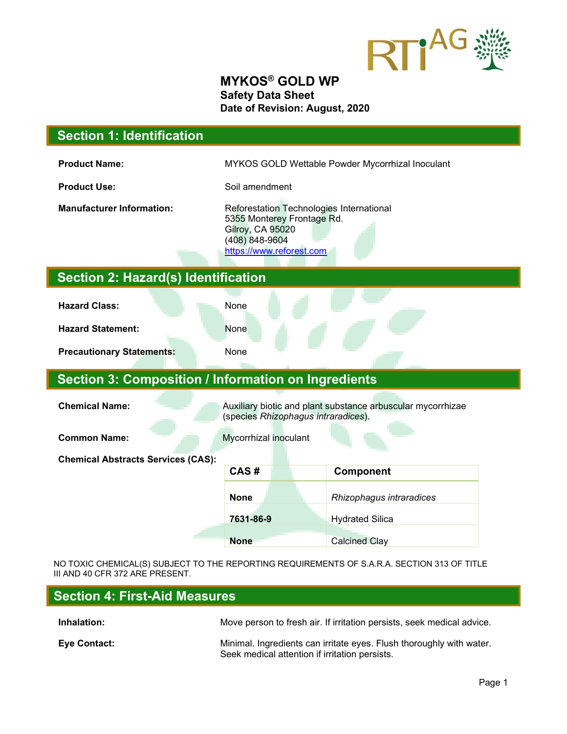

#### **MYKOS® GOLD WP Safety Data Sheet Date of Revision: August, 2020**

| <b>Section 1: Identification</b>                                                                                            |                                                                                                                                                 |                          |  |  |
|-----------------------------------------------------------------------------------------------------------------------------|-------------------------------------------------------------------------------------------------------------------------------------------------|--------------------------|--|--|
| <b>Product Name:</b>                                                                                                        | MYKOS GOLD Wettable Powder Mycorrhizal Inoculant                                                                                                |                          |  |  |
| <b>Product Use:</b>                                                                                                         | Soil amendment                                                                                                                                  |                          |  |  |
| <b>Manufacturer Information:</b>                                                                                            | Reforestation Technologies International<br>5355 Monterey Frontage Rd.<br><b>Gilroy, CA 95020</b><br>(408) 848-9604<br>https://www.reforest.com |                          |  |  |
| <b>Section 2: Hazard(s) Identification</b>                                                                                  |                                                                                                                                                 |                          |  |  |
| <b>Hazard Class:</b>                                                                                                        | None                                                                                                                                            |                          |  |  |
| <b>Hazard Statement:</b>                                                                                                    | None                                                                                                                                            |                          |  |  |
| <b>Precautionary Statements:</b>                                                                                            | None                                                                                                                                            |                          |  |  |
| <b>Section 3: Composition / Information on Ingredients</b>                                                                  |                                                                                                                                                 |                          |  |  |
| <b>Chemical Name:</b><br>Auxiliary biotic and plant substance arbuscular mycorrhizae<br>(species Rhizophagus intraradices). |                                                                                                                                                 |                          |  |  |
| <b>Common Name:</b><br>Mycorrhizal inoculant                                                                                |                                                                                                                                                 |                          |  |  |
| <b>Chemical Abstracts Services (CAS):</b>                                                                                   |                                                                                                                                                 |                          |  |  |
|                                                                                                                             | CAS#                                                                                                                                            | Component                |  |  |
|                                                                                                                             | <b>None</b>                                                                                                                                     | Rhizophagus intraradices |  |  |
|                                                                                                                             | 7631-86-9                                                                                                                                       | <b>Hydrated Silica</b>   |  |  |
|                                                                                                                             | <b>None</b>                                                                                                                                     | <b>Calcined Clay</b>     |  |  |

NO TOXIC CHEMICAL(S) SUBJECT TO THE REPORTING REQUIREMENTS OF S.A.R.A. SECTION 313 OF TITLE III AND 40 CFR 372 ARE PRESENT.

| Section 4: First-Aid Measures |                                                                                                                        |  |
|-------------------------------|------------------------------------------------------------------------------------------------------------------------|--|
| Inhalation:                   | Move person to fresh air. If irritation persists, seek medical advice.                                                 |  |
| Eye Contact:                  | Minimal. Ingredients can irritate eyes. Flush thoroughly with water.<br>Seek medical attention if irritation persists. |  |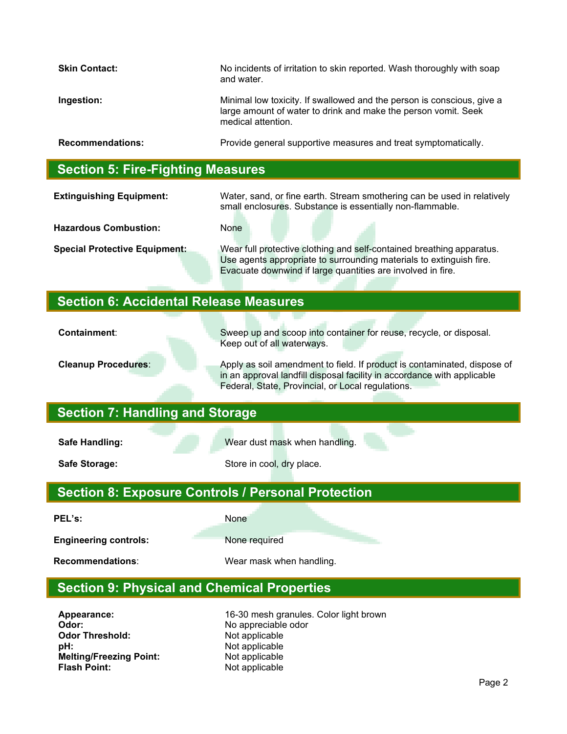| <b>Skin Contact:</b>    | No incidents of irritation to skin reported. Wash thoroughly with soap<br>and water.                                                                           |
|-------------------------|----------------------------------------------------------------------------------------------------------------------------------------------------------------|
| Ingestion:              | Minimal low toxicity. If swallowed and the person is conscious, give a<br>large amount of water to drink and make the person vomit. Seek<br>medical attention. |
| <b>Recommendations:</b> | Provide general supportive measures and treat symptomatically.                                                                                                 |

#### **Section 5: Fire-Fighting Measures**

**Extinguishing Equipment:** Water, sand, or fine earth. Stream smothering can be used in relatively small enclosures. Substance is essentially non-flammable.

**Hazardous Combustion:** None

**Special Protective Equipment:** Wear full protective clothing and self-contained breathing apparatus. Use agents appropriate to surrounding materials to extinguish fire. Evacuate downwind if large quantities are involved in fire.

## **Section 6: Accidental Release Measures**

**Containment:** Sweep up and scoop into container for reuse, recycle, or disposal. Keep out of all waterways.

**Cleanup Procedures**: Apply as soil amendment to field. If product is contaminated, dispose of in an approval landfill disposal facility in accordance with applicable Federal, State, Provincial, or Local regulations.

## **Section 7: Handling and Storage**

**Safe Handling:** Wear dust mask when handling.

**Safe Storage:** Store in cool, dry place.

# **Section 8: Exposure Controls / Personal Protection**

PEL's: None

**Engineering controls:** None required

**Recommendations**: Wear mask when handling.

# **Section 9: Physical and Chemical Properties**

**Odor:** No appreciable odor **Odor Threshold:** Not applicable **pH:** Not applicable **Melting/Freezing Point:** Not applicable<br> **Flash Point:** Not applicable

**Appearance:** 16-30 mesh granules. Color light brown **Not applicable**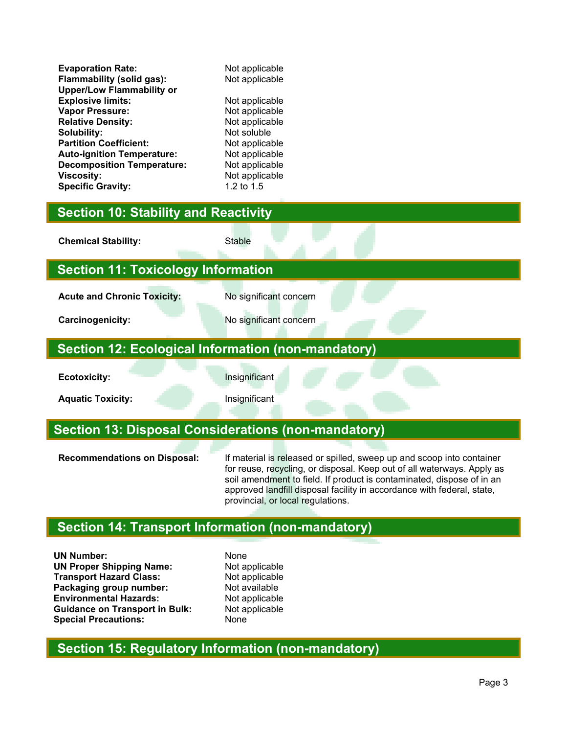| <b>Evaporation Rate:</b>          | Not applicable |
|-----------------------------------|----------------|
| Flammability (solid gas):         | Not applicable |
| <b>Upper/Low Flammability or</b>  |                |
| <b>Explosive limits:</b>          | Not applicable |
| Vapor Pressure:                   | Not applicable |
| <b>Relative Density:</b>          | Not applicable |
| Solubility:                       | Not soluble    |
| <b>Partition Coefficient:</b>     | Not applicable |
| <b>Auto-ignition Temperature:</b> | Not applicable |
| <b>Decomposition Temperature:</b> | Not applicable |
| <b>Viscosity:</b>                 | Not applicable |
| <b>Specific Gravity:</b>          | 1.2 to 1.5     |
|                                   |                |

## **Section 10: Stability and Reactivity**

**Chemical Stability:** Stable

## **Section 11: Toxicology Information**

Acute and Chronic Toxicity: No significant concern

**Carcinogenicity:** No significant concern

#### **Section 12: Ecological Information (non-mandatory)**

**Ecotoxicity:** Insignificant

**Aquatic Toxicity: Aquatic Toxicity: Insignificant** 

#### **Section 13: Disposal Considerations (non-mandatory)**

**Recommendations on Disposal:** If material is released or spilled, sweep up and scoop into container for reuse, recycling, or disposal. Keep out of all waterways. Apply as soil amendment to field. If product is contaminated, dispose of in an approved landfill disposal facility in accordance with federal, state, provincial, or local regulations.

# **Section 14: Transport Information (non-mandatory)**

**UN Number:** None **UN Proper Shipping Name:** Not applicable<br> **Transport Hazard Class:** Not applicable **Transport Hazard Class:** Not applicable<br> **Packaging group number:** Not available **Packaging group number:** Not available<br> **Environmental Hazards:** Not applicable **Environmental Hazards: Guidance on Transport in Bulk:** Not applicable<br> **Special Precautions:** None **Special Precautions:** 

# **Section 15: Regulatory Information (non-mandatory)**